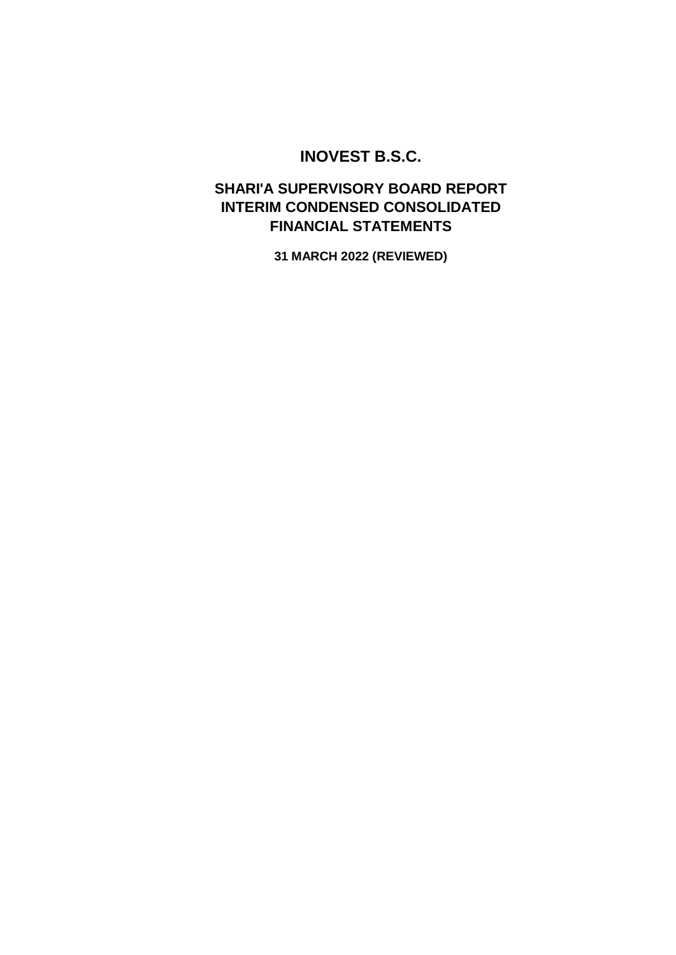# **INOVEST B.S.C.**

## **INTERIM CONDENSED CONSOLIDATED FINANCIAL STATEMENTS SHARI'A SUPERVISORY BOARD REPORT**

**31 MARCH 2022 (REVIEWED)**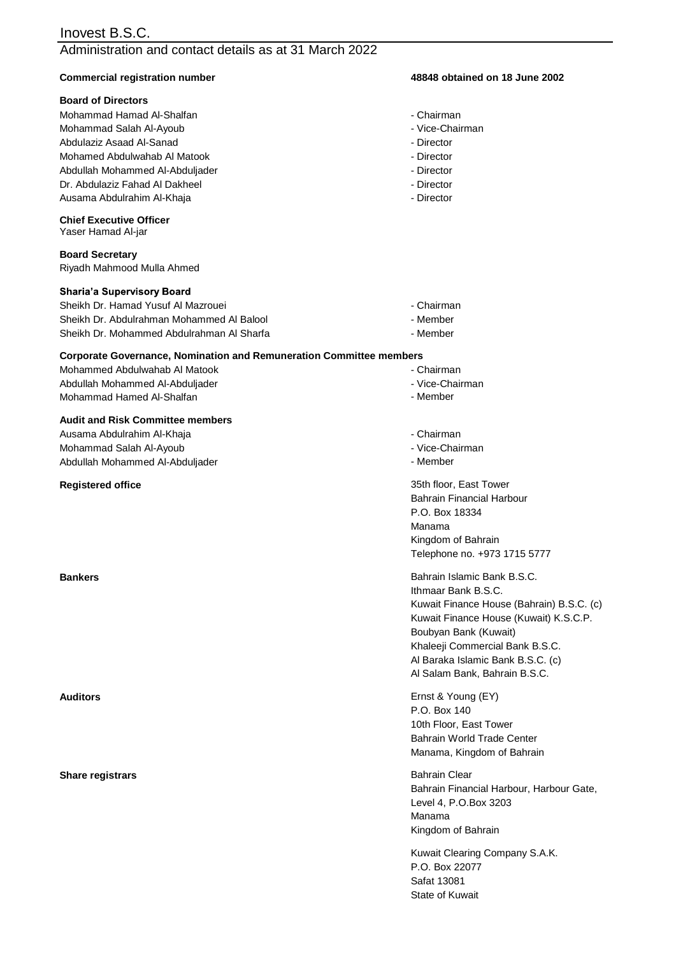#### Administration and contact details as at 31 March 2022

#### **Commercial registration number 48848 obtained on 18 June 2002**

#### **Board of Directors**

Mohammad Hamad Al-Shalfan - Chairman - Chairman - Chairman - Chairman Mohamed Abdulwahab Al Matook - Director Mohammad Salah Al-Ayoub Dr. Abdulaziz Fahad Al Dakheel - Director - Director - Director Abdullah Mohammed Al-Abduliader - Director Abdulaziz Asaad Al-Sanad Ausama Abdulrahim Al-Khaja

#### **Chief Executive Officer**

Yaser Hamad Al-jar

**Board Secretary** Riyadh Mahmood Mulla Ahmed

#### **Sharia'a Supervisory Board**

Sheikh Dr. Hamad Yusuf Al Mazrouei - Chairman Sheikh Dr. Mohammed Abdulrahman Al Sharfa - Member - Member Sheikh Dr. Abdulrahman Mohammed Al Balool

#### **Corporate Governance, Nomination and Remuneration Committee members**

Abdullah Mohammed Al-Abduljader Mohammad Hamed Al-Shalfan Mohammed Abdulwahab Al Matook **- Chairman** 

#### **Audit and Risk Committee members**

Mohammad Salah Al-Ayoub Ausama Abdulrahim Al-Khaja Abdullah Mohammed Al-Abduljader

**Registered office**

#### **Share registrars**

- 
- Vice-Chairman
- Director
- 
- 
- 
- Director
- 
- Member
- 
- -
	- Vice-Chairman
	- Member
	- Chairman
	- Vice-Chairman
	- Member

Telephone no. +973 1715 5777 Kingdom of Bahrain 35th floor, East Tower Bahrain Financial Harbour P.O. Box 18334 Manama

Khaleeji Commercial Bank B.S.C. Al Baraka Islamic Bank B.S.C. (c) Boubyan Bank (Kuwait) Kuwait Finance House (Kuwait) K.S.C.P. Kuwait Finance House (Bahrain) B.S.C. (c) **Bankers Bankers Bankers Bankers Bankers Bankers Bankers Bankers Bankers Bankers Bankers Bankers Bankers Bankers Bankers Bankers Bankers Bankers Bankers Bankers Bankers Bankers B** Ithmaar Bank B.S.C. Al Salam Bank, Bahrain B.S.C.

Manama, Kingdom of Bahrain **Auditors** Ernst & Young (EY) P.O. Box 140 10th Floor, East Tower Bahrain World Trade Center

> Kingdom of Bahrain Bahrain Clear Bahrain Financial Harbour, Harbour Gate, Level 4, P.O.Box 3203 Manama

Kuwait Clearing Company S.A.K. State of Kuwait P.O. Box 22077 Safat 13081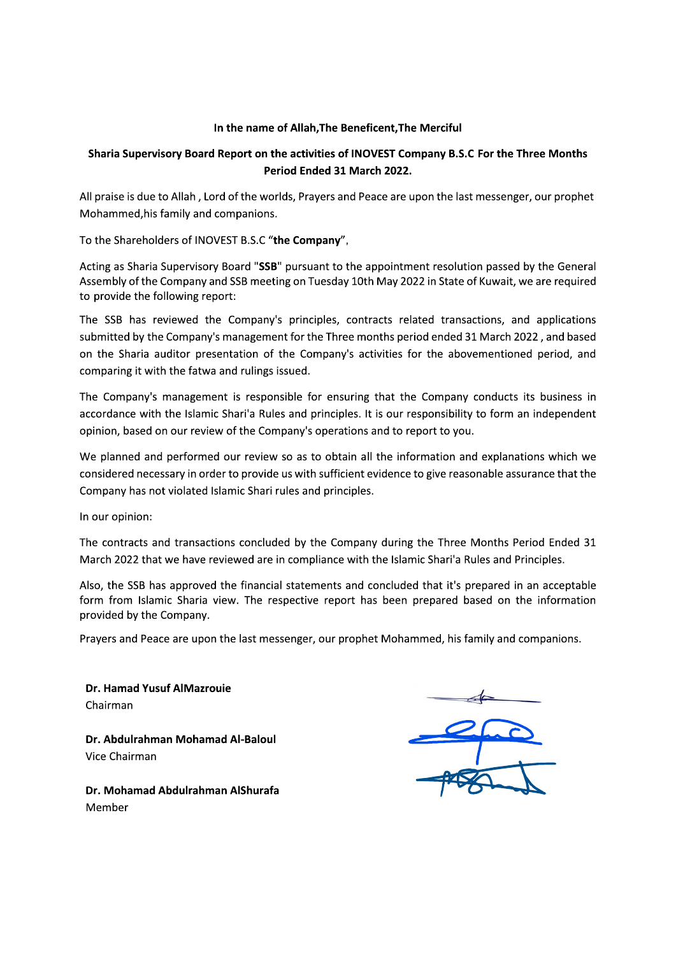#### In the name of Allah, The Beneficent, The Merciful

#### Sharia Supervisory Board Report on the activities of INOVEST Company B.S.C For the Three Months Period Ended 31 March 2022.

All praise is due to Allah, Lord of the worlds, Prayers and Peace are upon the last messenger, our prophet Mohammed, his family and companions.

To the Shareholders of INOVEST B.S.C "the Company",

Acting as Sharia Supervisory Board "SSB" pursuant to the appointment resolution passed by the General Assembly of the Company and SSB meeting on Tuesday 10th May 2022 in State of Kuwait, we are required to provide the following report:

The SSB has reviewed the Company's principles, contracts related transactions, and applications submitted by the Company's management for the Three months period ended 31 March 2022, and based on the Sharia auditor presentation of the Company's activities for the abovementioned period, and comparing it with the fatwa and rulings issued.

The Company's management is responsible for ensuring that the Company conducts its business in accordance with the Islamic Shari'a Rules and principles. It is our responsibility to form an independent opinion, based on our review of the Company's operations and to report to you.

We planned and performed our review so as to obtain all the information and explanations which we considered necessary in order to provide us with sufficient evidence to give reasonable assurance that the Company has not violated Islamic Shari rules and principles.

In our opinion:

The contracts and transactions concluded by the Company during the Three Months Period Ended 31 March 2022 that we have reviewed are in compliance with the Islamic Shari'a Rules and Principles.

Also, the SSB has approved the financial statements and concluded that it's prepared in an acceptable form from Islamic Sharia view. The respective report has been prepared based on the information provided by the Company.

Prayers and Peace are upon the last messenger, our prophet Mohammed, his family and companions.

Dr. Hamad Yusuf AlMazrouie Chairman

Dr. Abdulrahman Mohamad Al-Baloul Vice Chairman

Dr. Mohamad Abdulrahman AlShurafa Member

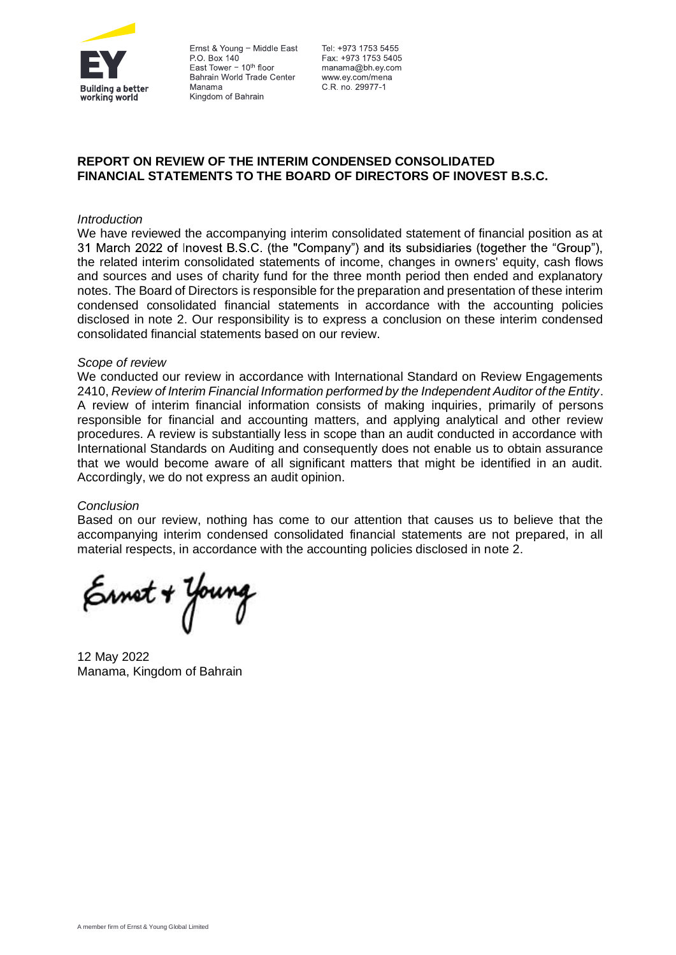

Ernst & Young - Middle East P.O. Box 140 East Tower  $-10<sup>th</sup>$  floor Bahrain World Trade Center Manama Kingdom of Bahrain

Tel: +973 1753 5455 Fax: +973 1753 5405 manama@bh.ev.com www.ey.com/mena C.R. no. 29977-1

#### **REPORT ON REVIEW OF THE INTERIM CONDENSED CONSOLIDATED FINANCIAL STATEMENTS TO THE BOARD OF DIRECTORS OF INOVEST B.S.C.**

#### *Introduction*

We have reviewed the accompanying interim consolidated statement of financial position as at 31 March 2022 of Inovest B.S.C. (the "Company") and its subsidiaries (together the "Group"), the related interim consolidated statements of income, changes in owners' equity, cash flows and sources and uses of charity fund for the three month period then ended and explanatory notes. The Board of Directors is responsible for the preparation and presentation of these interim condensed consolidated financial statements in accordance with the accounting policies disclosed in note 2. Our responsibility is to express a conclusion on these interim condensed consolidated financial statements based on our review.

#### *Scope of review*

We conducted our review in accordance with International Standard on Review Engagements 2410, *Review of Interim Financial Information performed by the Independent Auditor of the Entity*. A review of interim financial information consists of making inquiries, primarily of persons responsible for financial and accounting matters, and applying analytical and other review procedures. A review is substantially less in scope than an audit conducted in accordance with International Standards on Auditing and consequently does not enable us to obtain assurance that we would become aware of all significant matters that might be identified in an audit. Accordingly, we do not express an audit opinion.

#### *Conclusion*

Based on our review, nothing has come to our attention that causes us to believe that the accompanying interim condensed consolidated financial statements are not prepared, in all material respects, in accordance with the accounting policies disclosed in note 2.

Ernst + Young

12 May 2022 Manama, Kingdom of Bahrain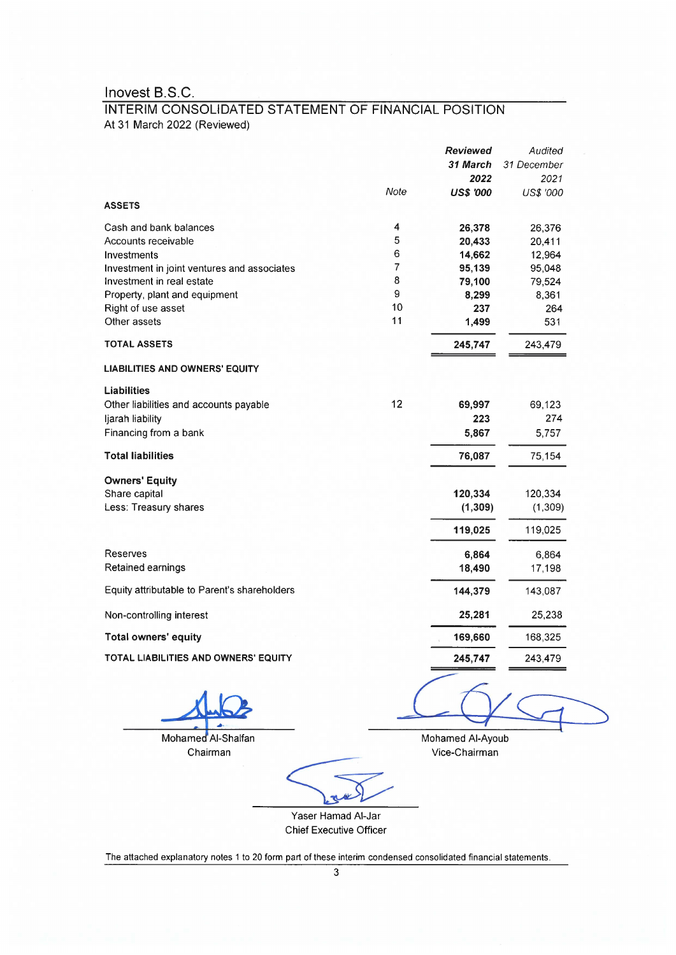### INTERIM CONSOLIDATED STATEMENT OF FINANCIAL POSITION At 31 March 2022 (Reviewed)

|                                              |      | <b>Reviewed</b>  | Audited          |
|----------------------------------------------|------|------------------|------------------|
|                                              |      | 31 March         | 31 December      |
|                                              |      | 2022             | 2021             |
|                                              | Note | <b>US\$ '000</b> | <b>US\$ '000</b> |
| <b>ASSETS</b>                                |      |                  |                  |
| Cash and bank balances                       | 4    | 26,378           | 26,376           |
| Accounts receivable                          | 5    | 20,433           | 20,411           |
| Investments                                  | 6    | 14,662           | 12,964           |
| Investment in joint ventures and associates  | 7    | 95,139           | 95,048           |
| Investment in real estate                    | 8    | 79,100           | 79,524           |
| Property, plant and equipment                | 9    | 8,299            | 8,361            |
| Right of use asset                           | 10   | 237              | 264              |
| Other assets                                 | 11   | 1,499            | 531              |
| <b>TOTAL ASSETS</b>                          |      | 245,747          | 243,479          |
| <b>LIABILITIES AND OWNERS' EQUITY</b>        |      |                  |                  |
| <b>Liabilities</b>                           |      |                  |                  |
| Other liabilities and accounts payable       | 12   | 69,997           | 69,123           |
| ljarah liability                             |      | 223              | 274              |
| Financing from a bank                        |      | 5,867            | 5,757            |
| <b>Total liabilities</b>                     |      | 76,087           | 75,154           |
| <b>Owners' Equity</b>                        |      |                  |                  |
| Share capital                                |      | 120,334          | 120,334          |
| Less: Treasury shares                        |      | (1, 309)         | (1, 309)         |
|                                              |      | 119,025          | 119,025          |
| <b>Reserves</b>                              |      | 6,864            | 6,864            |
| Retained earnings                            |      | 18,490           | 17,198           |
| Equity attributable to Parent's shareholders |      | 144,379          | 143,087          |
| Non-controlling interest                     |      | 25,281           | 25,238           |
| Total owners' equity                         |      | 169,660          | 168,325          |
| TOTAL LIABILITIES AND OWNERS' EQUITY         |      | 245,747          | 243,479          |
|                                              |      |                  |                  |

Mohamed Al-Shalfan Chairman

Mohamed Al-Ayoub Vice-Chairman

Yaser Hamad Al-Jar Chief Executive Officer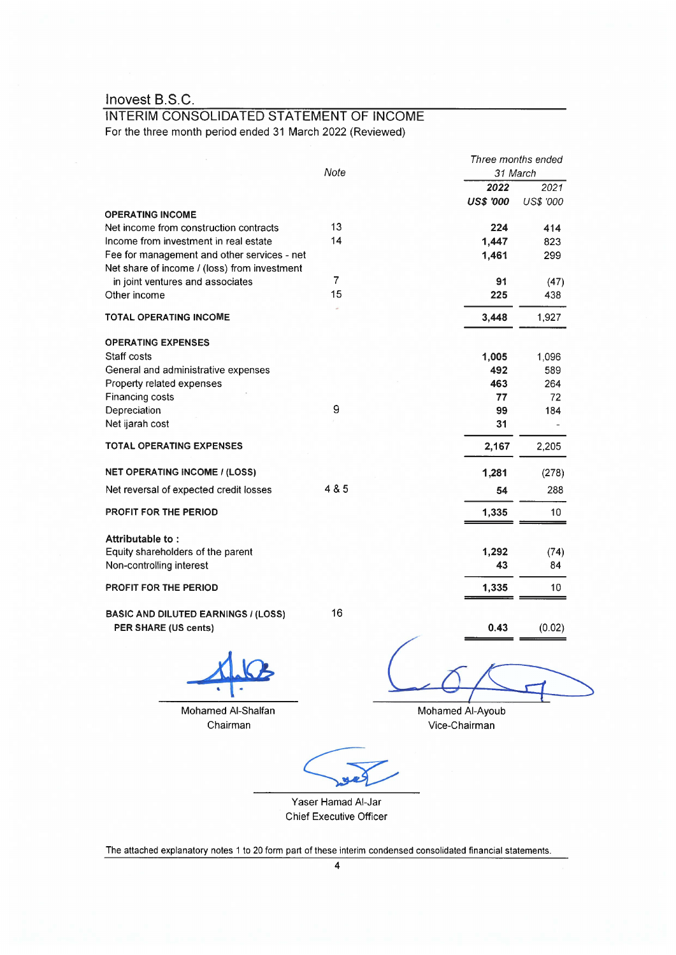#### INTERIM CONSOLIDATED STATEMENT OF INCOME For the three month period ended 31 March 2022 (Reviewed)

|                                                                    | Note                     | 31 March         | Three months ended |
|--------------------------------------------------------------------|--------------------------|------------------|--------------------|
|                                                                    |                          | 2022             | 2021               |
|                                                                    |                          | <b>US\$ '000</b> | US\$ '000          |
| <b>OPERATING INCOME</b>                                            |                          |                  |                    |
| Net income from construction contracts                             | 13                       | 224              | 414                |
| Income from investment in real estate                              | 14                       | 1,447            | 823                |
| Fee for management and other services - net                        |                          | 1,461            | 299                |
| Net share of income / (loss) from investment                       |                          |                  |                    |
| in joint ventures and associates                                   | $\overline{\mathcal{L}}$ | 91               | (47)               |
| Other income                                                       | 15                       | 225              | 438                |
| TOTAL OPERATING INCOME                                             |                          | 3,448            | 1,927              |
|                                                                    |                          |                  |                    |
| <b>OPERATING EXPENSES</b>                                          |                          |                  |                    |
| Staff costs                                                        |                          | 1,005            | 1,096              |
| General and administrative expenses                                |                          | 492              | 589                |
| Property related expenses                                          |                          | 463              | 264                |
| Financing costs                                                    |                          | 77               | 72                 |
| Depreciation                                                       | 9                        | 99               | 184                |
| Net ijarah cost                                                    |                          | 31               |                    |
| <b>TOTAL OPERATING EXPENSES</b>                                    |                          | 2,167            | 2,205              |
| <b>NET OPERATING INCOME / (LOSS)</b>                               |                          | 1,281            | (278)              |
| Net reversal of expected credit losses                             | 4 & 5                    | 54               | 288                |
| <b>PROFIT FOR THE PERIOD</b>                                       |                          | 1,335            | 10 <sup>1</sup>    |
|                                                                    |                          |                  |                    |
| Attributable to:                                                   |                          |                  |                    |
| Equity shareholders of the parent                                  |                          | 1,292            | (74)               |
| Non-controlling interest                                           |                          | 43               | 84                 |
| <b>PROFIT FOR THE PERIOD</b>                                       |                          | 1,335            | 10                 |
|                                                                    |                          |                  |                    |
| <b>BASIC AND DILUTED EARNINGS / (LOSS)</b><br>PER SHARE (US cents) | 16                       | 0.43             | (0.02)             |
|                                                                    |                          |                  |                    |
|                                                                    |                          |                  |                    |

Mohamed Al-Shalfan Chairman

Mohamed Al-Ayoub Vice-Chairman

Yaser Hamad Al-Jar Chief Executive Officer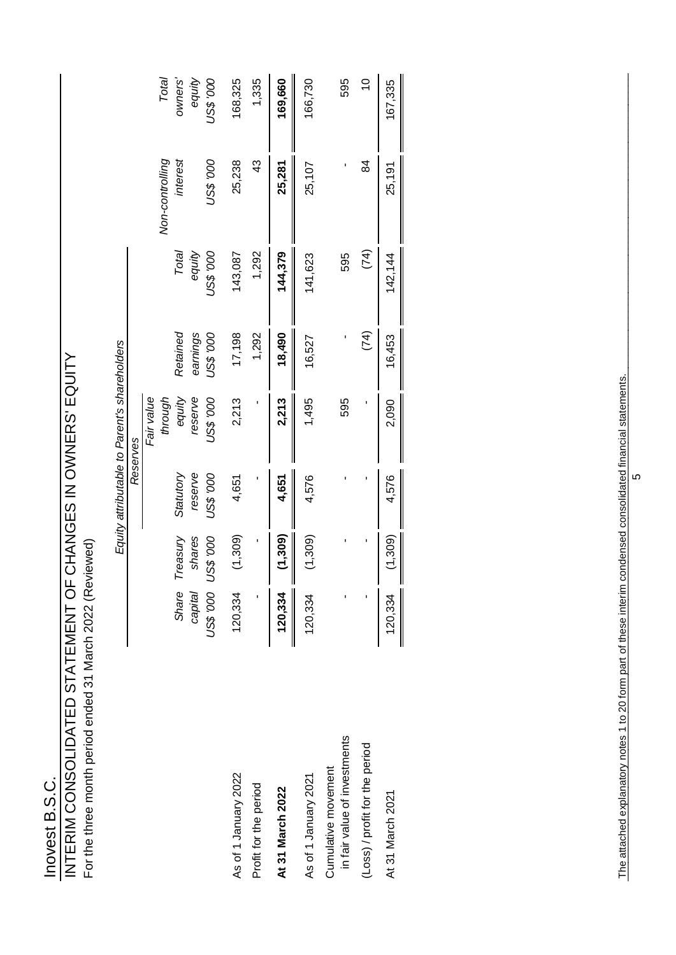# Inovest B.S.C.<br>INTERIM CONSOLIDATED STATEMENT OF CHANGES IN OWNERS' EQUITY INTERIM CONSOLIDATED STATEMENT OF CHANGES IN OWNERS' EQUITY

For the three month period ended 31 March 2022 (Reviewed) For the three month period ended 31 March 2022 (Reviewed)

|                                                                                                                |           |                  |           | Equity attributable to Parent's shareholders |           |                  |                             |                  |
|----------------------------------------------------------------------------------------------------------------|-----------|------------------|-----------|----------------------------------------------|-----------|------------------|-----------------------------|------------------|
|                                                                                                                |           |                  |           | Reserves                                     |           |                  |                             |                  |
|                                                                                                                |           |                  |           | Fair value                                   |           |                  |                             |                  |
|                                                                                                                | Share     | Treasury         | Statutory | through<br>equity                            | Retained  | Total            | Non-controlling<br>interest | owners'<br>Total |
|                                                                                                                | capital   | shares           | reserve   | reserve                                      | earnings  | equity           |                             | equity           |
|                                                                                                                | 000, \$SN | <b>000, \$SN</b> | 000, \$SN | <b>000, \$SN</b>                             | 000, \$SN | <b>000, \$SN</b> | 000, \$SN                   | 000, \$SN        |
| As of 1 January 2022                                                                                           | 120,334   | (1,309)          | 4,651     | 2,213                                        | 17,198    | 143,087          | 25,238                      | 168,325          |
| Profit for the period                                                                                          |           | $\blacksquare$   |           |                                              | 1,292     | 1,292            | 43                          | 1,335            |
| At 31 March 2022                                                                                               | 120,334   | (1,309)          | 4,651     | 2,213                                        | 18,490    | 144,379          | 25,281                      | 169,660          |
| As of 1 January 2021                                                                                           | 120,334   | (1,309)          | 4,576     | 1,495                                        | 16,527    | 141,623          | 25,107                      | 166,730          |
| in fair value of investments<br>Cumulative movement                                                            |           |                  |           | 595                                          |           | 595              |                             | 595              |
| (Loss) / profit for the period                                                                                 | ï         | J.               |           | ï                                            | (74)      | (74)             | 84                          | $\overline{0}$   |
| At 31 March 2021                                                                                               | 120,334   | (1,309)          | 4,576     | 2,090                                        | 16,453    | 142,144          | 25,191                      | 167,335          |
|                                                                                                                |           |                  |           |                                              |           |                  |                             |                  |
| The attached explanatory notes 1 to 20 form part of these interim condensed consolidated financial statements. |           |                  |           |                                              |           |                  |                             |                  |
|                                                                                                                |           |                  | LÇ.       |                                              |           |                  |                             |                  |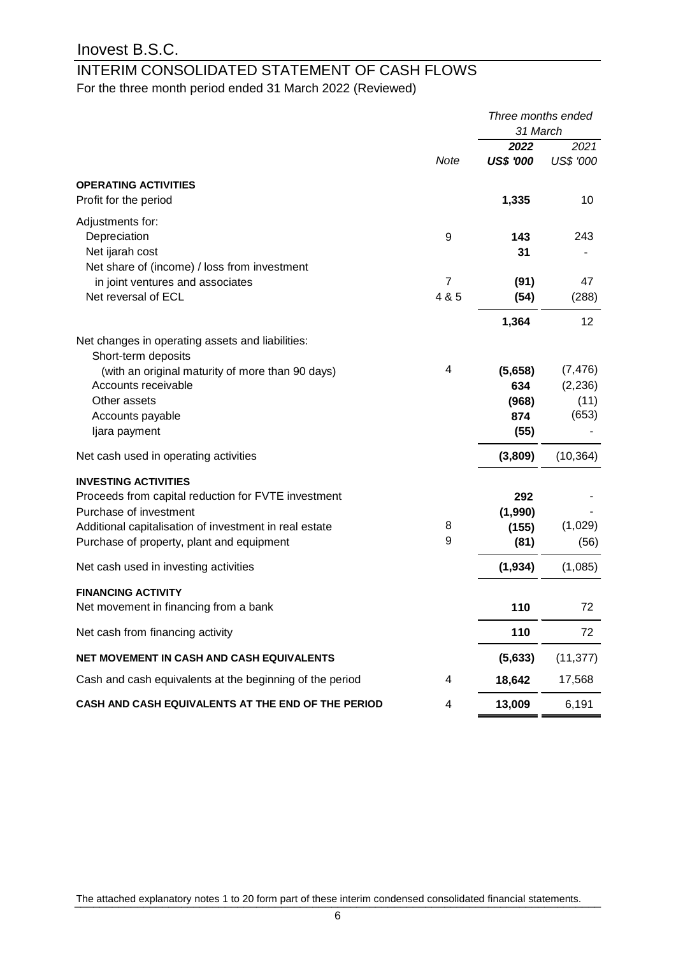# INTERIM CONSOLIDATED STATEMENT OF CASH FLOWS

For the three month period ended 31 March 2022 (Reviewed)

|                                                          |                | Three months ended |                  |
|----------------------------------------------------------|----------------|--------------------|------------------|
|                                                          |                | 31 March           |                  |
|                                                          |                | 2022               | 2021             |
|                                                          | <b>Note</b>    | <b>US\$ '000</b>   | <b>US\$ '000</b> |
| <b>OPERATING ACTIVITIES</b>                              |                |                    |                  |
| Profit for the period                                    |                | 1,335              | 10               |
| Adjustments for:                                         |                |                    |                  |
| Depreciation                                             | 9              | 143                | 243              |
| Net ijarah cost                                          |                | 31                 |                  |
| Net share of (income) / loss from investment             |                |                    |                  |
| in joint ventures and associates                         | $\overline{7}$ | (91)               | 47               |
| Net reversal of ECL                                      | 4 & 5          | (54)               | (288)            |
|                                                          |                | 1,364              | 12               |
| Net changes in operating assets and liabilities:         |                |                    |                  |
| Short-term deposits                                      |                |                    |                  |
| (with an original maturity of more than 90 days)         | 4              | (5,658)            | (7, 476)         |
| Accounts receivable                                      |                | 634                | (2, 236)         |
| Other assets                                             |                | (968)              | (11)             |
| Accounts payable                                         |                | 874                | (653)            |
| ljara payment                                            |                | (55)               |                  |
| Net cash used in operating activities                    |                | (3,809)            | (10, 364)        |
| <b>INVESTING ACTIVITIES</b>                              |                |                    |                  |
| Proceeds from capital reduction for FVTE investment      |                | 292                |                  |
| Purchase of investment                                   |                | (1,990)            |                  |
| Additional capitalisation of investment in real estate   | 8              | (155)              | (1,029)          |
| Purchase of property, plant and equipment                | 9              | (81)               | (56)             |
| Net cash used in investing activities                    |                | (1, 934)           | (1,085)          |
| <b>FINANCING ACTIVITY</b>                                |                |                    |                  |
| Net movement in financing from a bank                    |                | 110                | 72               |
| Net cash from financing activity                         |                | 110                | 72               |
|                                                          |                |                    |                  |
| NET MOVEMENT IN CASH AND CASH EQUIVALENTS                |                | (5,633)            | (11, 377)        |
| Cash and cash equivalents at the beginning of the period | 4              | 18,642             | 17,568           |
| CASH AND CASH EQUIVALENTS AT THE END OF THE PERIOD       | 4              | 13,009             | 6,191            |